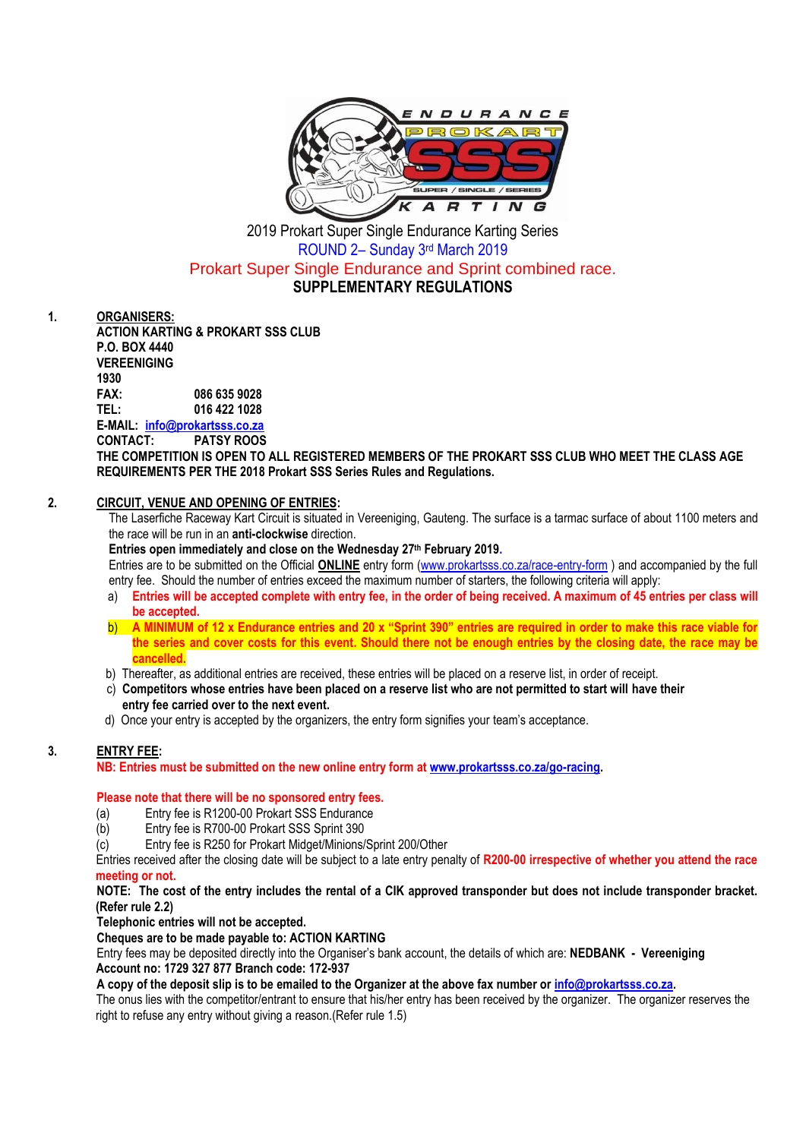

2019 Prokart Super Single Endurance Karting Series ROUND 2– Sunday 3 rd March 2019 Prokart Super Single Endurance and Sprint combined race. **SUPPLEMENTARY REGULATIONS**

**1. ORGANISERS:**

**ACTION KARTING & PROKART SSS CLUB P.O. BOX 4440 VEREENIGING 1930 FAX: 086 635 9028 TEL: 016 422 1028 E-MAIL: [info@prokartsss.co.za](mailto:info@prokartsss.co.za)**

**CONTACT: PATSY ROOS**

**THE COMPETITION IS OPEN TO ALL REGISTERED MEMBERS OF THE PROKART SSS CLUB WHO MEET THE CLASS AGE REQUIREMENTS PER THE 2018 Prokart SSS Series Rules and Regulations.**

## **2. CIRCUIT, VENUE AND OPENING OF ENTRIES:**

The Laserfiche Raceway Kart Circuit is situated in Vereeniging, Gauteng. The surface is a tarmac surface of about 1100 meters and the race will be run in an **anti-clockwise** direction.

**Entries open immediately and close on the Wednesday 27th February 2019.**

Entries are to be submitted on the Official **ONLINE** entry form [\(www.prokartsss.co.za/race-entry-form](http://www.prokartsss.co.za/race-entry-form) ) and accompanied by the full entry fee. Should the number of entries exceed the maximum number of starters, the following criteria will apply:

- a) **Entries will be accepted complete with entry fee, in the order of being received. A maximum of 45 entries per class will be accepted.**
- b) **A MINIMUM of 12 x Endurance entries and 20 x "Sprint 390" entries are required in order to make this race viable for the series and cover costs for this event. Should there not be enough entries by the closing date, the race may be cancelled.**
- b) Thereafter, as additional entries are received, these entries will be placed on a reserve list, in order of receipt.
- c) **Competitors whose entries have been placed on a reserve list who are not permitted to start will have their entry fee carried over to the next event.**
- d) Once your entry is accepted by the organizers, the entry form signifies your team's acceptance.

## **3. ENTRY FEE:**

**NB: Entries must be submitted on the new online entry form at [www.prokartsss.co.za/go-racing.](../../11%20SSS%202016/COMBINED%20EVENTS/www.prokartsss.co.za/go-racing)**

## **Please note that there will be no sponsored entry fees.**

- (a) Entry fee is R1200-00 Prokart SSS Endurance
- (b) Entry fee is R700-00 Prokart SSS Sprint 390
- (c) Entry fee is R250 for Prokart Midget/Minions/Sprint 200/Other

Entries received after the closing date will be subject to a late entry penalty of **R200-00 irrespective of whether you attend the race meeting or not.**

**NOTE: The cost of the entry includes the rental of a CIK approved transponder but does not include transponder bracket. (Refer rule 2.2)**

**Telephonic entries will not be accepted.**

#### **Cheques are to be made payable to: ACTION KARTING**

Entry fees may be deposited directly into the Organiser's bank account, the details of which are: **NEDBANK - Vereeniging Account no: 1729 327 877 Branch code: 172-937**

**A copy of the deposit slip is to be emailed to the Organizer at the above fax number o[r info@prokartsss.co.za.](mailto:info@prokartsss.co.za)**

The onus lies with the competitor/entrant to ensure that his/her entry has been received by the organizer. The organizer reserves the right to refuse any entry without giving a reason.(Refer rule 1.5)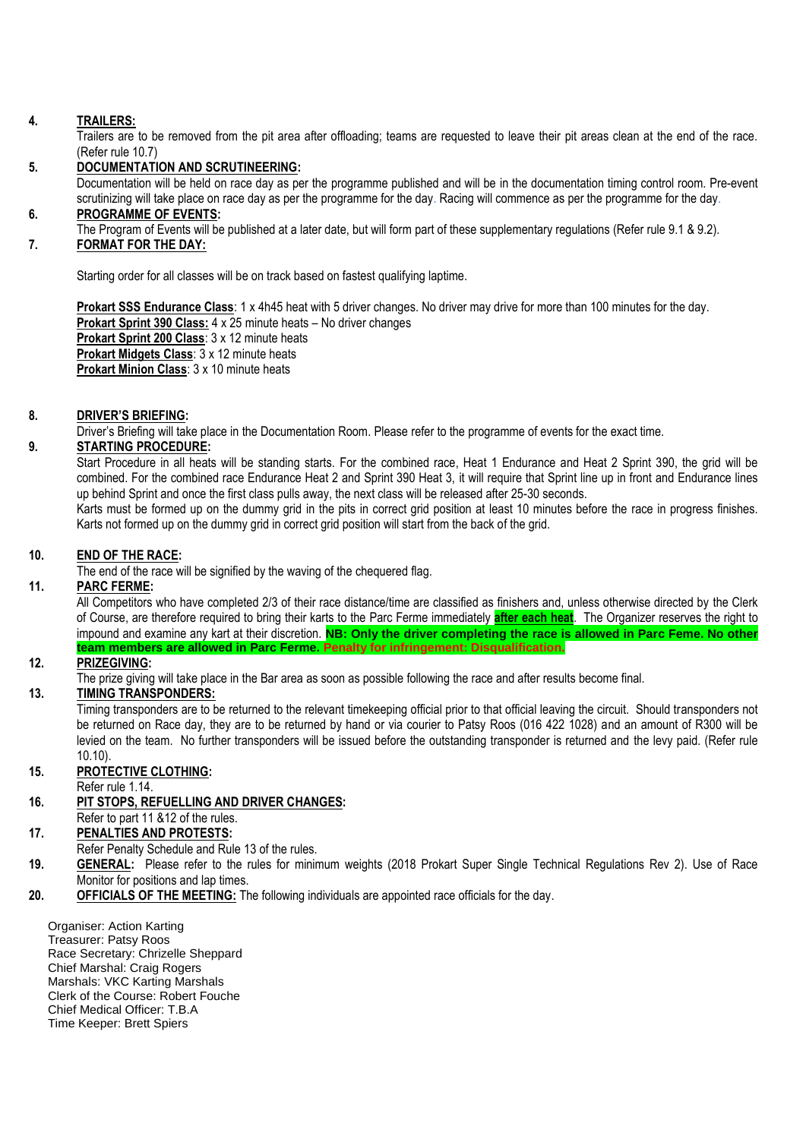## **4. TRAILERS:**

Trailers are to be removed from the pit area after offloading; teams are requested to leave their pit areas clean at the end of the race. (Refer rule 10.7)

## **5. DOCUMENTATION AND SCRUTINEERING:**

Documentation will be held on race day as per the programme published and will be in the documentation timing control room. Pre-event scrutinizing will take place on race day as per the programme for the day. Racing will commence as per the programme for the day.

# **6. PROGRAMME OF EVENTS:**

The Program of Events will be published at a later date, but will form part of these supplementary regulations (Refer rule 9.1 & 9.2).

## **7. FORMAT FOR THE DAY:**

Starting order for all classes will be on track based on fastest qualifying laptime.

**Prokart SSS Endurance Class**: 1 x 4h45 heat with 5 driver changes. No driver may drive for more than 100 minutes for the day. **Prokart Sprint 390 Class:** 4 x 25 minute heats – No driver changes **Prokart Sprint 200 Class**: 3 x 12 minute heats **Prokart Midgets Class**: 3 x 12 minute heats **Prokart Minion Class**: 3 x 10 minute heats

## **8. DRIVER'S BRIEFING:**

Driver's Briefing will take place in the Documentation Room. Please refer to the programme of events for the exact time.

#### **9. STARTING PROCEDURE:**

Start Procedure in all heats will be standing starts. For the combined race, Heat 1 Endurance and Heat 2 Sprint 390, the grid will be combined. For the combined race Endurance Heat 2 and Sprint 390 Heat 3, it will require that Sprint line up in front and Endurance lines up behind Sprint and once the first class pulls away, the next class will be released after 25-30 seconds.

Karts must be formed up on the dummy grid in the pits in correct grid position at least 10 minutes before the race in progress finishes. Karts not formed up on the dummy grid in correct grid position will start from the back of the grid.

#### **10. END OF THE RACE:**

The end of the race will be signified by the waving of the chequered flag.

# **11. PARC FERME:**

All Competitors who have completed 2/3 of their race distance/time are classified as finishers and, unless otherwise directed by the Clerk of Course, are therefore required to bring their karts to the Parc Ferme immediately **after each heat**. The Organizer reserves the right to impound and examine any kart at their discretion. **NB: Only the driver completing the race is allowed in Parc Feme. No other team members are allowed in Parc Ferme. Penalty for infringement: Disqualification.**

## **12. PRIZEGIVING:**

The prize giving will take place in the Bar area as soon as possible following the race and after results become final.

#### **13. TIMING TRANSPONDERS:**

Timing transponders are to be returned to the relevant timekeeping official prior to that official leaving the circuit. Should transponders not be returned on Race day, they are to be returned by hand or via courier to Patsy Roos (016 422 1028) and an amount of R300 will be levied on the team. No further transponders will be issued before the outstanding transponder is returned and the levy paid. (Refer rule 10.10).

#### **15. PROTECTIVE CLOTHING:**

Refer rule 1.14.

- **16. PIT STOPS, REFUELLING AND DRIVER CHANGES:**
- Refer to part 11 &12 of the rules.

# **17. PENALTIES AND PROTESTS:**

- Refer Penalty Schedule and Rule 13 of the rules.
- **19. GENERAL:** Please refer to the rules for minimum weights (2018 Prokart Super Single Technical Regulations Rev 2). Use of Race Monitor for positions and lap times.
- **20. OFFICIALS OF THE MEETING:** The following individuals are appointed race officials for the day.

Organiser: Action Karting Treasurer: Patsy Roos Race Secretary: Chrizelle Sheppard Chief Marshal: Craig Rogers Marshals: VKC Karting Marshals Clerk of the Course: Robert Fouche Chief Medical Officer: T.B.A Time Keeper: Brett Spiers